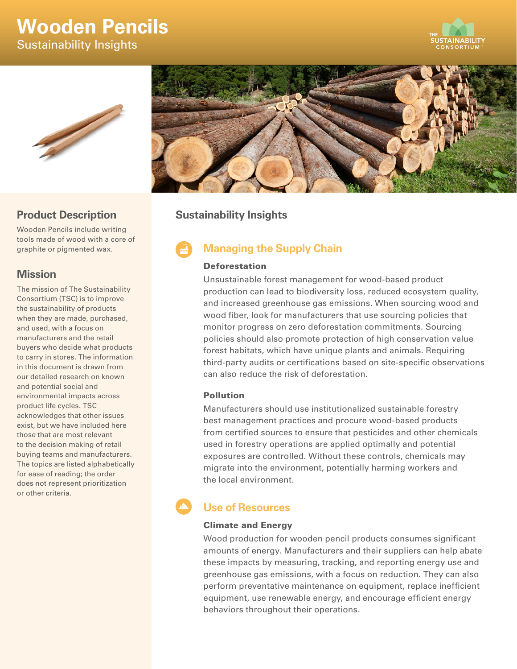# **Wooden Pencils**

Sustainability Insights





## **Product Description**

Wooden Pencils include writing tools made of wood with a core of graphite or pigmented wax.

### **Mission**

The mission of The Sustainability Consortium (TSC) is to improve the sustainability of products when they are made, purchased, and used, with a focus on manufacturers and the retail buyers who decide what products to carry in stores. The information in this document is drawn from our detailed research on known and potential social and environmental impacts across product life cycles. TSC acknowledges that other issues exist, but we have included here those that are most relevant to the decision making of retail buying teams and manufacturers. The topics are listed alphabetically for ease of reading; the order does not represent prioritization or other criteria.



# **Sustainability Insights**

# **Managing the Supply Chain**

### Deforestation

Unsustainable forest management for wood-based product production can lead to biodiversity loss, reduced ecosystem quality, and increased greenhouse gas emissions. When sourcing wood and wood fiber, look for manufacturers that use sourcing policies that monitor progress on zero deforestation commitments. Sourcing policies should also promote protection of high conservation value forest habitats, which have unique plants and animals. Requiring third-party audits or certifications based on site-specific observations can also reduce the risk of deforestation.

### Pollution

Manufacturers should use institutionalized sustainable forestry best management practices and procure wood-based products from certified sources to ensure that pesticides and other chemicals used in forestry operations are applied optimally and potential exposures are controlled. Without these controls, chemicals may migrate into the environment, potentially harming workers and the local environment.

# **Use of Resources**

### Climate and Energy

Wood production for wooden pencil products consumes significant amounts of energy. Manufacturers and their suppliers can help abate these impacts by measuring, tracking, and reporting energy use and greenhouse gas emissions, with a focus on reduction. They can also perform preventative maintenance on equipment, replace inefficient equipment, use renewable energy, and encourage efficient energy behaviors throughout their operations.